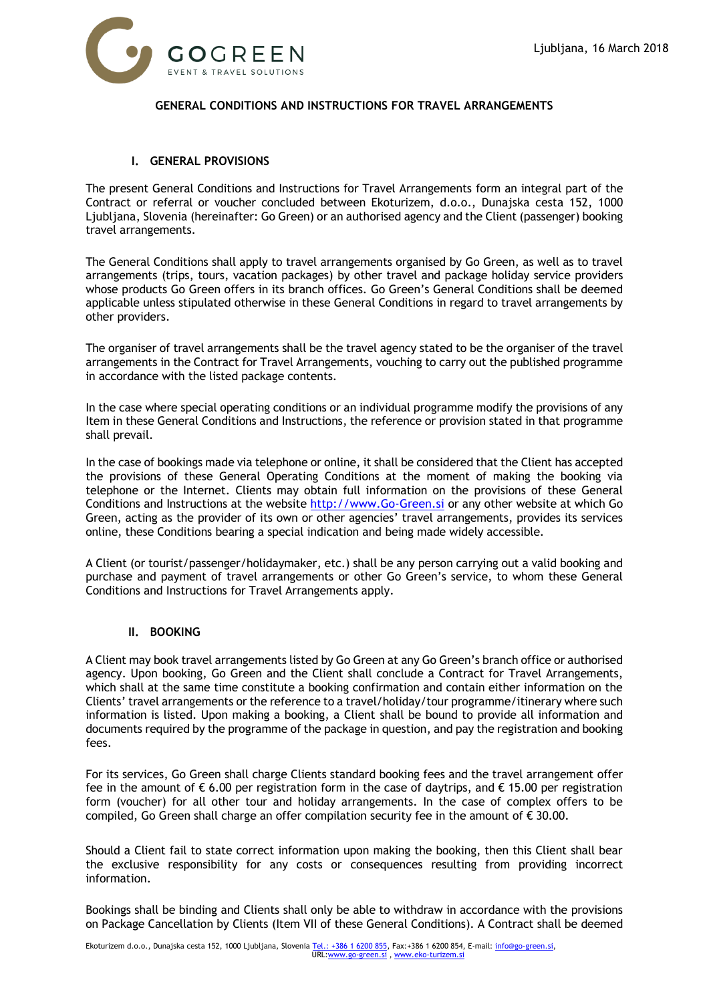

# **GENERAL CONDITIONS AND INSTRUCTIONS FOR TRAVEL ARRANGEMENTS**

### **I. GENERAL PROVISIONS**

The present General Conditions and Instructions for Travel Arrangements form an integral part of the Contract or referral or voucher concluded between Ekoturizem, d.o.o., Dunajska cesta 152, 1000 Ljubljana, Slovenia (hereinafter: Go Green) or an authorised agency and the Client (passenger) booking travel arrangements.

The General Conditions shall apply to travel arrangements organised by Go Green, as well as to travel arrangements (trips, tours, vacation packages) by other travel and package holiday service providers whose products Go Green offers in its branch offices. Go Green's General Conditions shall be deemed applicable unless stipulated otherwise in these General Conditions in regard to travel arrangements by other providers.

The organiser of travel arrangements shall be the travel agency stated to be the organiser of the travel arrangements in the Contract for Travel Arrangements, vouching to carry out the published programme in accordance with the listed package contents.

In the case where special operating conditions or an individual programme modify the provisions of any Item in these General Conditions and Instructions, the reference or provision stated in that programme shall prevail.

In the case of bookings made via telephone or online, it shall be considered that the Client has accepted the provisions of these General Operating Conditions at the moment of making the booking via telephone or the Internet. Clients may obtain full information on the provisions of these General Conditions and Instructions at the website [http://www.Go-Green.si](http://www.go-green.si/) or any other website at which Go Green, acting as the provider of its own or other agencies' travel arrangements, provides its services online, these Conditions bearing a special indication and being made widely accessible.

A Client (or tourist/passenger/holidaymaker, etc.) shall be any person carrying out a valid booking and purchase and payment of travel arrangements or other Go Green's service, to whom these General Conditions and Instructions for Travel Arrangements apply.

### **II. BOOKING**

A Client may book travel arrangements listed by Go Green at any Go Green's branch office or authorised agency. Upon booking, Go Green and the Client shall conclude a Contract for Travel Arrangements, which shall at the same time constitute a booking confirmation and contain either information on the Clients' travel arrangements or the reference to a travel/holiday/tour programme/itinerary where such information is listed. Upon making a booking, a Client shall be bound to provide all information and documents required by the programme of the package in question, and pay the registration and booking fees.

For its services, Go Green shall charge Clients standard booking fees and the travel arrangement offer fee in the amount of  $\epsilon$  6.00 per registration form in the case of daytrips, and  $\epsilon$  15.00 per registration form (voucher) for all other tour and holiday arrangements. In the case of complex offers to be compiled, Go Green shall charge an offer compilation security fee in the amount of  $\epsilon$  30.00.

Should a Client fail to state correct information upon making the booking, then this Client shall bear the exclusive responsibility for any costs or consequences resulting from providing incorrect information.

Bookings shall be binding and Clients shall only be able to withdraw in accordance with the provisions on Package Cancellation by Clients (Item VII of these General Conditions). A Contract shall be deemed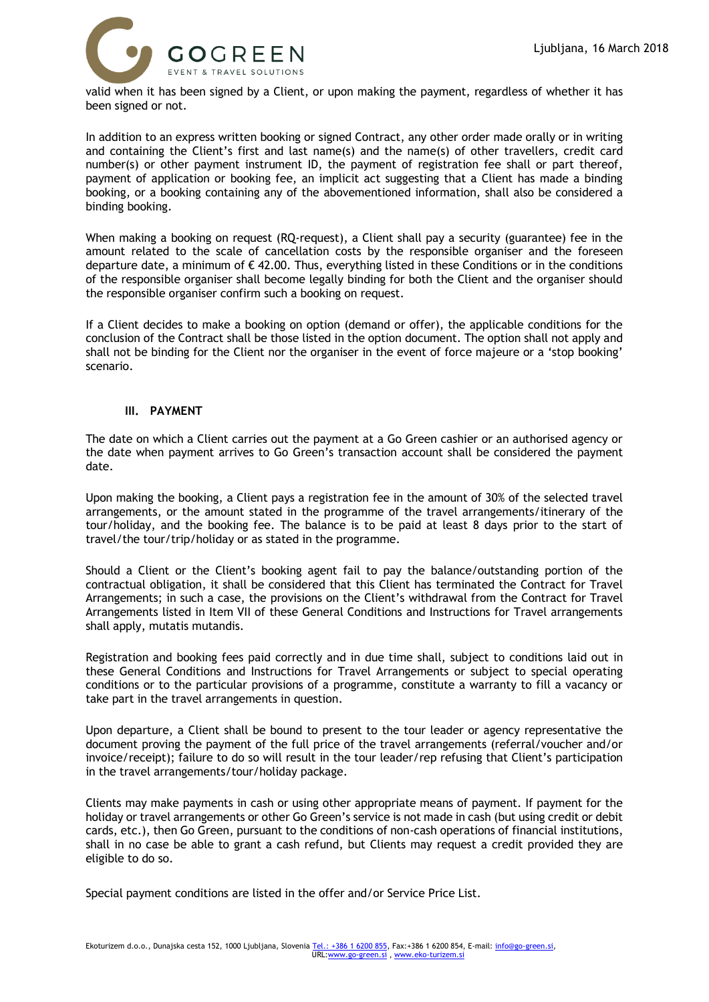

valid when it has been signed by a Client, or upon making the payment, regardless of whether it has been signed or not.

In addition to an express written booking or signed Contract, any other order made orally or in writing and containing the Client's first and last name(s) and the name(s) of other travellers, credit card number(s) or other payment instrument ID, the payment of registration fee shall or part thereof, payment of application or booking fee, an implicit act suggesting that a Client has made a binding booking, or a booking containing any of the abovementioned information, shall also be considered a binding booking.

When making a booking on request (RQ-request), a Client shall pay a security (guarantee) fee in the amount related to the scale of cancellation costs by the responsible organiser and the foreseen departure date, a minimum of  $\epsilon$  42.00. Thus, everything listed in these Conditions or in the conditions of the responsible organiser shall become legally binding for both the Client and the organiser should the responsible organiser confirm such a booking on request.

If a Client decides to make a booking on option (demand or offer), the applicable conditions for the conclusion of the Contract shall be those listed in the option document. The option shall not apply and shall not be binding for the Client nor the organiser in the event of force majeure or a 'stop booking' scenario.

#### **III. PAYMENT**

The date on which a Client carries out the payment at a Go Green cashier or an authorised agency or the date when payment arrives to Go Green's transaction account shall be considered the payment date.

Upon making the booking, a Client pays a registration fee in the amount of 30% of the selected travel arrangements, or the amount stated in the programme of the travel arrangements/itinerary of the tour/holiday, and the booking fee. The balance is to be paid at least 8 days prior to the start of travel/the tour/trip/holiday or as stated in the programme.

Should a Client or the Client's booking agent fail to pay the balance/outstanding portion of the contractual obligation, it shall be considered that this Client has terminated the Contract for Travel Arrangements; in such a case, the provisions on the Client's withdrawal from the Contract for Travel Arrangements listed in Item VII of these General Conditions and Instructions for Travel arrangements shall apply, mutatis mutandis.

Registration and booking fees paid correctly and in due time shall, subject to conditions laid out in these General Conditions and Instructions for Travel Arrangements or subject to special operating conditions or to the particular provisions of a programme, constitute a warranty to fill a vacancy or take part in the travel arrangements in question.

Upon departure, a Client shall be bound to present to the tour leader or agency representative the document proving the payment of the full price of the travel arrangements (referral/voucher and/or invoice/receipt); failure to do so will result in the tour leader/rep refusing that Client's participation in the travel arrangements/tour/holiday package.

Clients may make payments in cash or using other appropriate means of payment. If payment for the holiday or travel arrangements or other Go Green's service is not made in cash (but using credit or debit cards, etc.), then Go Green, pursuant to the conditions of non-cash operations of financial institutions, shall in no case be able to grant a cash refund, but Clients may request a credit provided they are eligible to do so.

Special payment conditions are listed in the offer and/or Service Price List.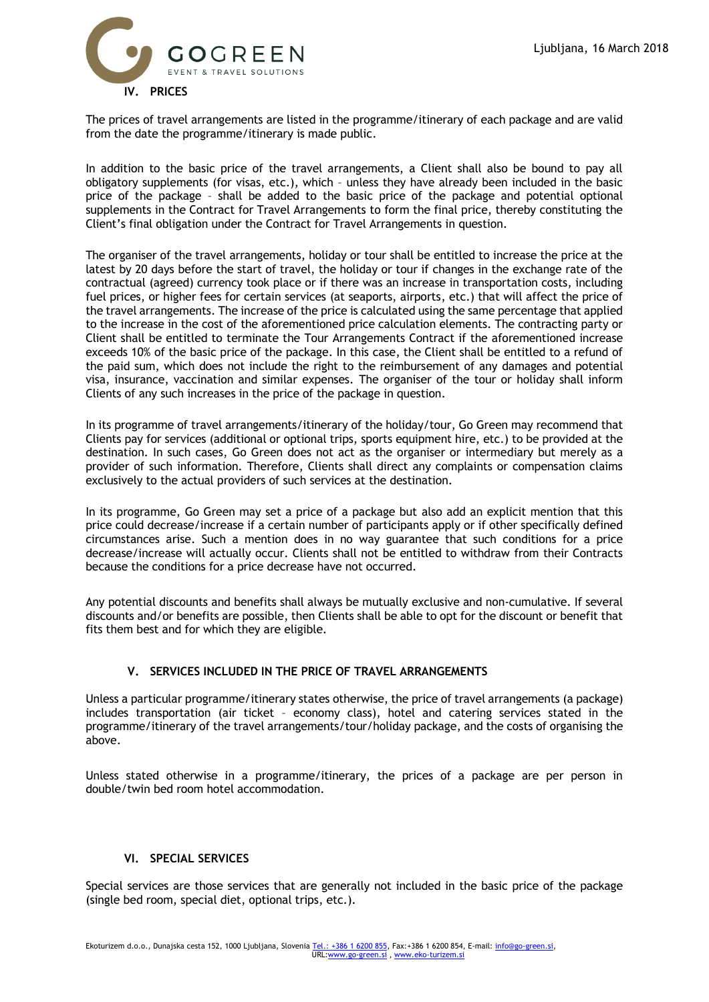

The prices of travel arrangements are listed in the programme/itinerary of each package and are valid from the date the programme/itinerary is made public.

In addition to the basic price of the travel arrangements, a Client shall also be bound to pay all obligatory supplements (for visas, etc.), which – unless they have already been included in the basic price of the package – shall be added to the basic price of the package and potential optional supplements in the Contract for Travel Arrangements to form the final price, thereby constituting the Client's final obligation under the Contract for Travel Arrangements in question.

The organiser of the travel arrangements, holiday or tour shall be entitled to increase the price at the latest by 20 days before the start of travel, the holiday or tour if changes in the exchange rate of the contractual (agreed) currency took place or if there was an increase in transportation costs, including fuel prices, or higher fees for certain services (at seaports, airports, etc.) that will affect the price of the travel arrangements. The increase of the price is calculated using the same percentage that applied to the increase in the cost of the aforementioned price calculation elements. The contracting party or Client shall be entitled to terminate the Tour Arrangements Contract if the aforementioned increase exceeds 10% of the basic price of the package. In this case, the Client shall be entitled to a refund of the paid sum, which does not include the right to the reimbursement of any damages and potential visa, insurance, vaccination and similar expenses. The organiser of the tour or holiday shall inform Clients of any such increases in the price of the package in question.

In its programme of travel arrangements/itinerary of the holiday/tour, Go Green may recommend that Clients pay for services (additional or optional trips, sports equipment hire, etc.) to be provided at the destination. In such cases, Go Green does not act as the organiser or intermediary but merely as a provider of such information. Therefore, Clients shall direct any complaints or compensation claims exclusively to the actual providers of such services at the destination.

In its programme, Go Green may set a price of a package but also add an explicit mention that this price could decrease/increase if a certain number of participants apply or if other specifically defined circumstances arise. Such a mention does in no way guarantee that such conditions for a price decrease/increase will actually occur. Clients shall not be entitled to withdraw from their Contracts because the conditions for a price decrease have not occurred.

Any potential discounts and benefits shall always be mutually exclusive and non-cumulative. If several discounts and/or benefits are possible, then Clients shall be able to opt for the discount or benefit that fits them best and for which they are eligible.

## **V. SERVICES INCLUDED IN THE PRICE OF TRAVEL ARRANGEMENTS**

Unless a particular programme/itinerary states otherwise, the price of travel arrangements (a package) includes transportation (air ticket – economy class), hotel and catering services stated in the programme/itinerary of the travel arrangements/tour/holiday package, and the costs of organising the above.

Unless stated otherwise in a programme/itinerary, the prices of a package are per person in double/twin bed room hotel accommodation.

### **VI. SPECIAL SERVICES**

Special services are those services that are generally not included in the basic price of the package (single bed room, special diet, optional trips, etc.).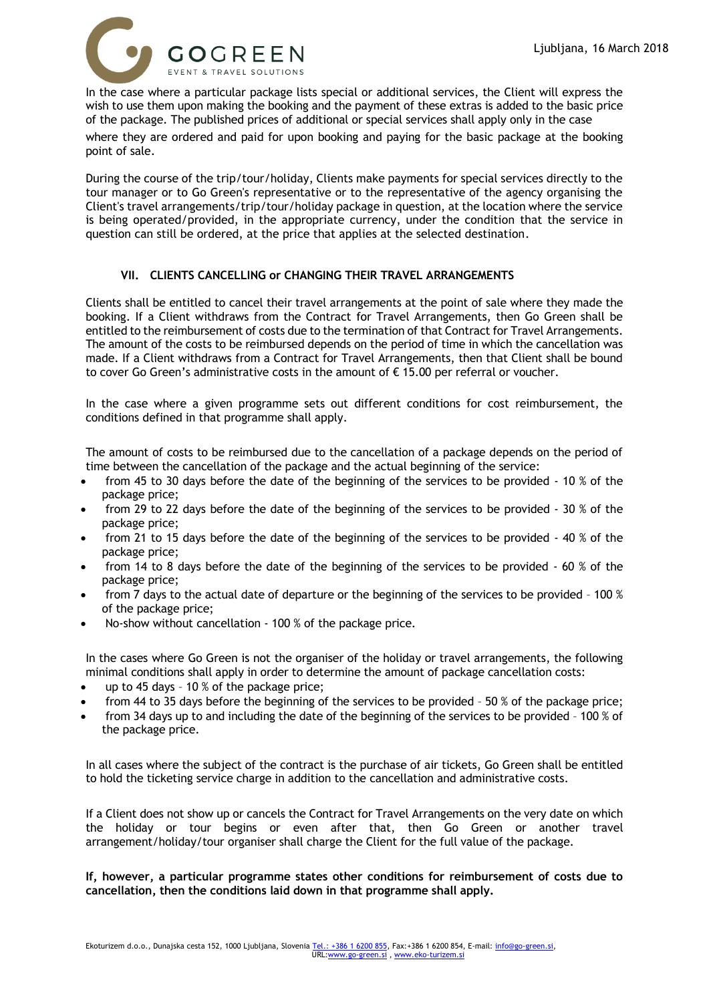

In the case where a particular package lists special or additional services, the Client will express the wish to use them upon making the booking and the payment of these extras is added to the basic price of the package. The published prices of additional or special services shall apply only in the case

where they are ordered and paid for upon booking and paying for the basic package at the booking point of sale.

During the course of the trip/tour/holiday, Clients make payments for special services directly to the tour manager or to Go Green's representative or to the representative of the agency organising the Client's travel arrangements/trip/tour/holiday package in question, at the location where the service is being operated/provided, in the appropriate currency, under the condition that the service in question can still be ordered, at the price that applies at the selected destination.

## **VII. CLIENTS CANCELLING or CHANGING THEIR TRAVEL ARRANGEMENTS**

Clients shall be entitled to cancel their travel arrangements at the point of sale where they made the booking. If a Client withdraws from the Contract for Travel Arrangements, then Go Green shall be entitled to the reimbursement of costs due to the termination of that Contract for Travel Arrangements. The amount of the costs to be reimbursed depends on the period of time in which the cancellation was made. If a Client withdraws from a Contract for Travel Arrangements, then that Client shall be bound to cover Go Green's administrative costs in the amount of € 15.00 per referral or voucher.

In the case where a given programme sets out different conditions for cost reimbursement, the conditions defined in that programme shall apply.

The amount of costs to be reimbursed due to the cancellation of a package depends on the period of time between the cancellation of the package and the actual beginning of the service:

- from 45 to 30 days before the date of the beginning of the services to be provided 10 % of the package price;
- from 29 to 22 days before the date of the beginning of the services to be provided 30 % of the package price;
- from 21 to 15 days before the date of the beginning of the services to be provided 40 % of the package price;
- from 14 to 8 days before the date of the beginning of the services to be provided 60 % of the package price;
- from 7 days to the actual date of departure or the beginning of the services to be provided 100 % of the package price;
- No-show without cancellation 100 % of the package price.

In the cases where Go Green is not the organiser of the holiday or travel arrangements, the following minimal conditions shall apply in order to determine the amount of package cancellation costs:

- up to 45 days 10 % of the package price;
- from 44 to 35 days before the beginning of the services to be provided 50 % of the package price;
- from 34 days up to and including the date of the beginning of the services to be provided 100 % of the package price.

In all cases where the subject of the contract is the purchase of air tickets, Go Green shall be entitled to hold the ticketing service charge in addition to the cancellation and administrative costs.

If a Client does not show up or cancels the Contract for Travel Arrangements on the very date on which the holiday or tour begins or even after that, then Go Green or another travel arrangement/holiday/tour organiser shall charge the Client for the full value of the package.

**If, however, a particular programme states other conditions for reimbursement of costs due to cancellation, then the conditions laid down in that programme shall apply.**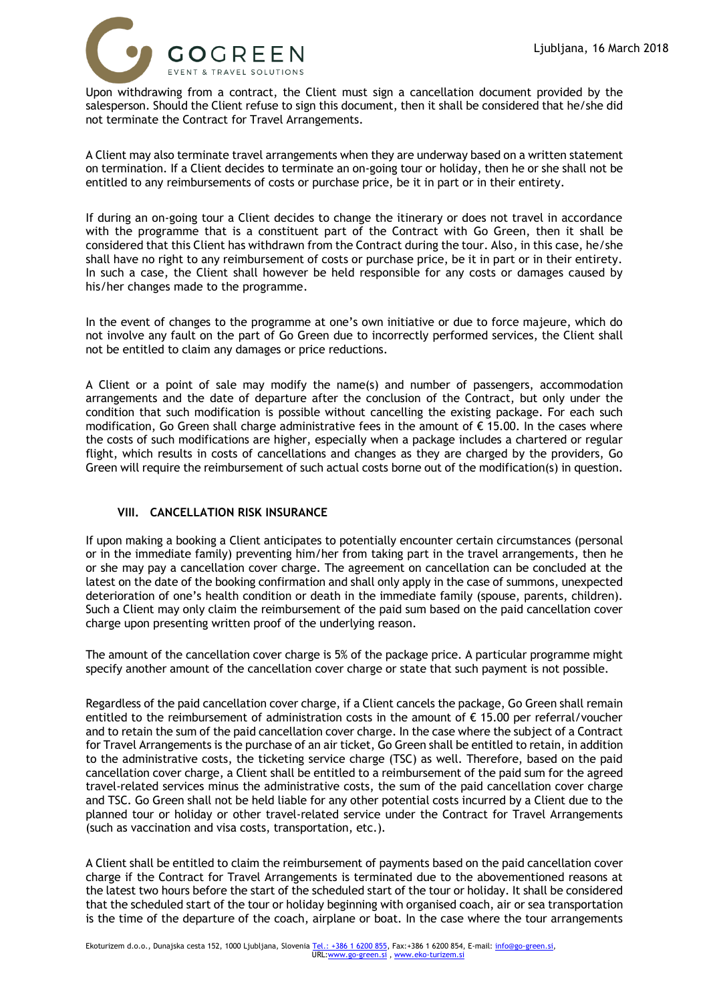

Upon withdrawing from a contract, the Client must sign a cancellation document provided by the salesperson. Should the Client refuse to sign this document, then it shall be considered that he/she did not terminate the Contract for Travel Arrangements.

A Client may also terminate travel arrangements when they are underway based on a written statement on termination. If a Client decides to terminate an on-going tour or holiday, then he or she shall not be entitled to any reimbursements of costs or purchase price, be it in part or in their entirety.

If during an on-going tour a Client decides to change the itinerary or does not travel in accordance with the programme that is a constituent part of the Contract with Go Green, then it shall be considered that this Client has withdrawn from the Contract during the tour. Also, in this case, he/she shall have no right to any reimbursement of costs or purchase price, be it in part or in their entirety. In such a case, the Client shall however be held responsible for any costs or damages caused by his/her changes made to the programme.

In the event of changes to the programme at one's own initiative or due to force majeure, which do not involve any fault on the part of Go Green due to incorrectly performed services, the Client shall not be entitled to claim any damages or price reductions.

A Client or a point of sale may modify the name(s) and number of passengers, accommodation arrangements and the date of departure after the conclusion of the Contract, but only under the condition that such modification is possible without cancelling the existing package. For each such modification, Go Green shall charge administrative fees in the amount of € 15.00. In the cases where the costs of such modifications are higher, especially when a package includes a chartered or regular flight, which results in costs of cancellations and changes as they are charged by the providers, Go Green will require the reimbursement of such actual costs borne out of the modification(s) in question.

## **VIII. CANCELLATION RISK INSURANCE**

If upon making a booking a Client anticipates to potentially encounter certain circumstances (personal or in the immediate family) preventing him/her from taking part in the travel arrangements, then he or she may pay a cancellation cover charge. The agreement on cancellation can be concluded at the latest on the date of the booking confirmation and shall only apply in the case of summons, unexpected deterioration of one's health condition or death in the immediate family (spouse, parents, children). Such a Client may only claim the reimbursement of the paid sum based on the paid cancellation cover charge upon presenting written proof of the underlying reason.

The amount of the cancellation cover charge is 5% of the package price. A particular programme might specify another amount of the cancellation cover charge or state that such payment is not possible.

Regardless of the paid cancellation cover charge, if a Client cancels the package, Go Green shall remain entitled to the reimbursement of administration costs in the amount of € 15.00 per referral/voucher and to retain the sum of the paid cancellation cover charge. In the case where the subject of a Contract for Travel Arrangements is the purchase of an air ticket, Go Green shall be entitled to retain, in addition to the administrative costs, the ticketing service charge (TSC) as well. Therefore, based on the paid cancellation cover charge, a Client shall be entitled to a reimbursement of the paid sum for the agreed travel-related services minus the administrative costs, the sum of the paid cancellation cover charge and TSC. Go Green shall not be held liable for any other potential costs incurred by a Client due to the planned tour or holiday or other travel-related service under the Contract for Travel Arrangements (such as vaccination and visa costs, transportation, etc.).

A Client shall be entitled to claim the reimbursement of payments based on the paid cancellation cover charge if the Contract for Travel Arrangements is terminated due to the abovementioned reasons at the latest two hours before the start of the scheduled start of the tour or holiday. It shall be considered that the scheduled start of the tour or holiday beginning with organised coach, air or sea transportation is the time of the departure of the coach, airplane or boat. In the case where the tour arrangements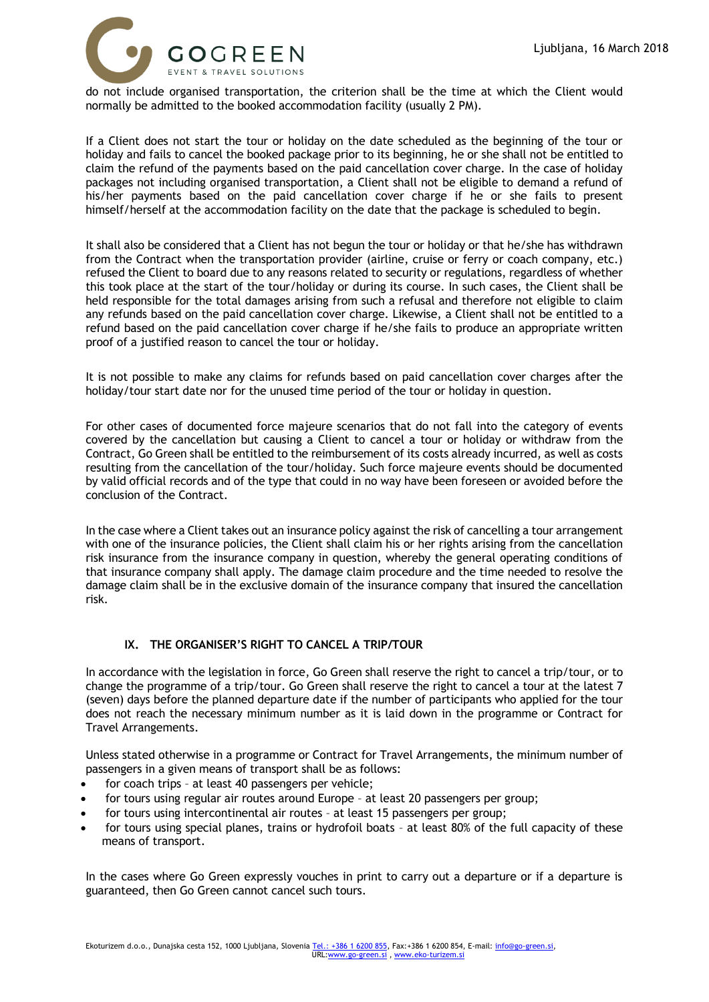

do not include organised transportation, the criterion shall be the time at which the Client would normally be admitted to the booked accommodation facility (usually 2 PM).

If a Client does not start the tour or holiday on the date scheduled as the beginning of the tour or holiday and fails to cancel the booked package prior to its beginning, he or she shall not be entitled to claim the refund of the payments based on the paid cancellation cover charge. In the case of holiday packages not including organised transportation, a Client shall not be eligible to demand a refund of his/her payments based on the paid cancellation cover charge if he or she fails to present himself/herself at the accommodation facility on the date that the package is scheduled to begin.

It shall also be considered that a Client has not begun the tour or holiday or that he/she has withdrawn from the Contract when the transportation provider (airline, cruise or ferry or coach company, etc.) refused the Client to board due to any reasons related to security or regulations, regardless of whether this took place at the start of the tour/holiday or during its course. In such cases, the Client shall be held responsible for the total damages arising from such a refusal and therefore not eligible to claim any refunds based on the paid cancellation cover charge. Likewise, a Client shall not be entitled to a refund based on the paid cancellation cover charge if he/she fails to produce an appropriate written proof of a justified reason to cancel the tour or holiday.

It is not possible to make any claims for refunds based on paid cancellation cover charges after the holiday/tour start date nor for the unused time period of the tour or holiday in question.

For other cases of documented force majeure scenarios that do not fall into the category of events covered by the cancellation but causing a Client to cancel a tour or holiday or withdraw from the Contract, Go Green shall be entitled to the reimbursement of its costs already incurred, as well as costs resulting from the cancellation of the tour/holiday. Such force majeure events should be documented by valid official records and of the type that could in no way have been foreseen or avoided before the conclusion of the Contract.

In the case where a Client takes out an insurance policy against the risk of cancelling a tour arrangement with one of the insurance policies, the Client shall claim his or her rights arising from the cancellation risk insurance from the insurance company in question, whereby the general operating conditions of that insurance company shall apply. The damage claim procedure and the time needed to resolve the damage claim shall be in the exclusive domain of the insurance company that insured the cancellation risk.

## **IX. THE ORGANISER'S RIGHT TO CANCEL A TRIP/TOUR**

In accordance with the legislation in force, Go Green shall reserve the right to cancel a trip/tour, or to change the programme of a trip/tour. Go Green shall reserve the right to cancel a tour at the latest 7 (seven) days before the planned departure date if the number of participants who applied for the tour does not reach the necessary minimum number as it is laid down in the programme or Contract for Travel Arrangements.

Unless stated otherwise in a programme or Contract for Travel Arrangements, the minimum number of passengers in a given means of transport shall be as follows:

- for coach trips at least 40 passengers per vehicle;
- for tours using regular air routes around Europe at least 20 passengers per group;
- for tours using intercontinental air routes at least 15 passengers per group;
- for tours using special planes, trains or hydrofoil boats at least 80% of the full capacity of these means of transport.

In the cases where Go Green expressly vouches in print to carry out a departure or if a departure is guaranteed, then Go Green cannot cancel such tours.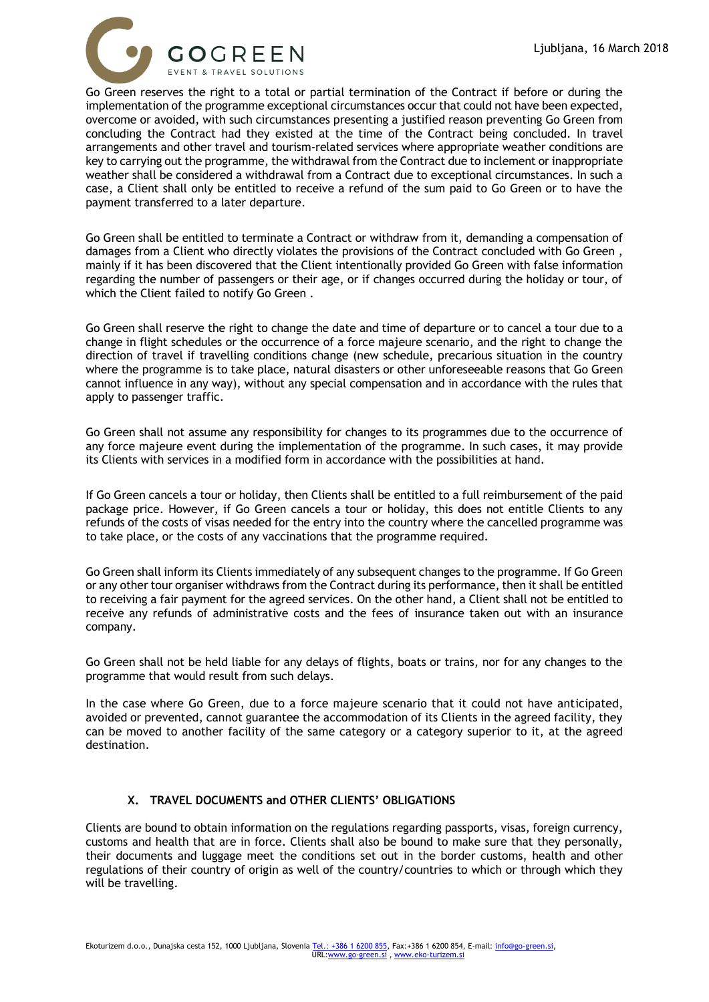

Go Green reserves the right to a total or partial termination of the Contract if before or during the implementation of the programme exceptional circumstances occur that could not have been expected, overcome or avoided, with such circumstances presenting a justified reason preventing Go Green from concluding the Contract had they existed at the time of the Contract being concluded. In travel arrangements and other travel and tourism-related services where appropriate weather conditions are key to carrying out the programme, the withdrawal from the Contract due to inclement or inappropriate weather shall be considered a withdrawal from a Contract due to exceptional circumstances. In such a case, a Client shall only be entitled to receive a refund of the sum paid to Go Green or to have the payment transferred to a later departure.

Go Green shall be entitled to terminate a Contract or withdraw from it, demanding a compensation of damages from a Client who directly violates the provisions of the Contract concluded with Go Green , mainly if it has been discovered that the Client intentionally provided Go Green with false information regarding the number of passengers or their age, or if changes occurred during the holiday or tour, of which the Client failed to notify Go Green .

Go Green shall reserve the right to change the date and time of departure or to cancel a tour due to a change in flight schedules or the occurrence of a force majeure scenario, and the right to change the direction of travel if travelling conditions change (new schedule, precarious situation in the country where the programme is to take place, natural disasters or other unforeseeable reasons that Go Green cannot influence in any way), without any special compensation and in accordance with the rules that apply to passenger traffic.

Go Green shall not assume any responsibility for changes to its programmes due to the occurrence of any force majeure event during the implementation of the programme. In such cases, it may provide its Clients with services in a modified form in accordance with the possibilities at hand.

If Go Green cancels a tour or holiday, then Clients shall be entitled to a full reimbursement of the paid package price. However, if Go Green cancels a tour or holiday, this does not entitle Clients to any refunds of the costs of visas needed for the entry into the country where the cancelled programme was to take place, or the costs of any vaccinations that the programme required.

Go Green shall inform its Clients immediately of any subsequent changes to the programme. If Go Green or any other tour organiser withdraws from the Contract during its performance, then it shall be entitled to receiving a fair payment for the agreed services. On the other hand, a Client shall not be entitled to receive any refunds of administrative costs and the fees of insurance taken out with an insurance company.

Go Green shall not be held liable for any delays of flights, boats or trains, nor for any changes to the programme that would result from such delays.

In the case where Go Green, due to a force majeure scenario that it could not have anticipated, avoided or prevented, cannot guarantee the accommodation of its Clients in the agreed facility, they can be moved to another facility of the same category or a category superior to it, at the agreed destination.

## **X. TRAVEL DOCUMENTS and OTHER CLIENTS' OBLIGATIONS**

Clients are bound to obtain information on the regulations regarding passports, visas, foreign currency, customs and health that are in force. Clients shall also be bound to make sure that they personally, their documents and luggage meet the conditions set out in the border customs, health and other regulations of their country of origin as well of the country/countries to which or through which they will be travelling.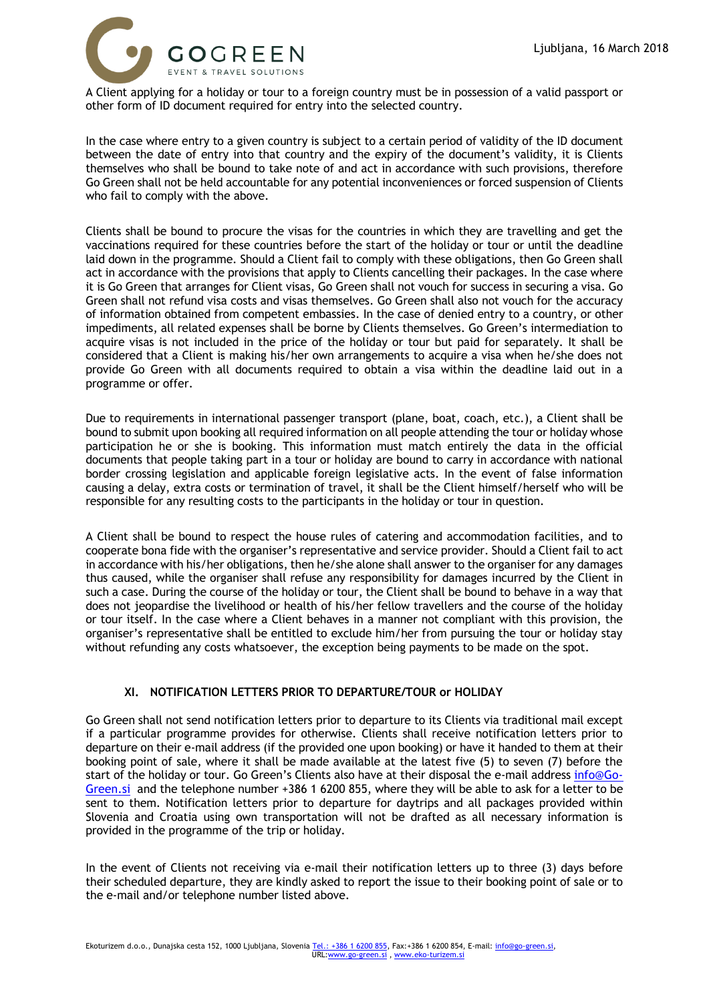

A Client applying for a holiday or tour to a foreign country must be in possession of a valid passport or other form of ID document required for entry into the selected country.

In the case where entry to a given country is subject to a certain period of validity of the ID document between the date of entry into that country and the expiry of the document's validity, it is Clients themselves who shall be bound to take note of and act in accordance with such provisions, therefore Go Green shall not be held accountable for any potential inconveniences or forced suspension of Clients who fail to comply with the above.

Clients shall be bound to procure the visas for the countries in which they are travelling and get the vaccinations required for these countries before the start of the holiday or tour or until the deadline laid down in the programme. Should a Client fail to comply with these obligations, then Go Green shall act in accordance with the provisions that apply to Clients cancelling their packages. In the case where it is Go Green that arranges for Client visas, Go Green shall not vouch for success in securing a visa. Go Green shall not refund visa costs and visas themselves. Go Green shall also not vouch for the accuracy of information obtained from competent embassies. In the case of denied entry to a country, or other impediments, all related expenses shall be borne by Clients themselves. Go Green's intermediation to acquire visas is not included in the price of the holiday or tour but paid for separately. It shall be considered that a Client is making his/her own arrangements to acquire a visa when he/she does not provide Go Green with all documents required to obtain a visa within the deadline laid out in a programme or offer.

Due to requirements in international passenger transport (plane, boat, coach, etc.), a Client shall be bound to submit upon booking all required information on all people attending the tour or holiday whose participation he or she is booking. This information must match entirely the data in the official documents that people taking part in a tour or holiday are bound to carry in accordance with national border crossing legislation and applicable foreign legislative acts. In the event of false information causing a delay, extra costs or termination of travel, it shall be the Client himself/herself who will be responsible for any resulting costs to the participants in the holiday or tour in question.

A Client shall be bound to respect the house rules of catering and accommodation facilities, and to cooperate bona fide with the organiser's representative and service provider. Should a Client fail to act in accordance with his/her obligations, then he/she alone shall answer to the organiser for any damages thus caused, while the organiser shall refuse any responsibility for damages incurred by the Client in such a case. During the course of the holiday or tour, the Client shall be bound to behave in a way that does not jeopardise the livelihood or health of his/her fellow travellers and the course of the holiday or tour itself. In the case where a Client behaves in a manner not compliant with this provision, the organiser's representative shall be entitled to exclude him/her from pursuing the tour or holiday stay without refunding any costs whatsoever, the exception being payments to be made on the spot.

## **XI. NOTIFICATION LETTERS PRIOR TO DEPARTURE/TOUR or HOLIDAY**

Go Green shall not send notification letters prior to departure to its Clients via traditional mail except if a particular programme provides for otherwise. Clients shall receive notification letters prior to departure on their e-mail address (if the provided one upon booking) or have it handed to them at their booking point of sale, where it shall be made available at the latest five (5) to seven (7) before the start of the holiday or tour. Go Green's Clients also have at their disposal the e-mail address [info@Go-](mailto:info@Go-Green.si)[Green.si](mailto:info@Go-Green.si) and the telephone number +386 1 6200 855, where they will be able to ask for a letter to be sent to them. Notification letters prior to departure for daytrips and all packages provided within Slovenia and Croatia using own transportation will not be drafted as all necessary information is provided in the programme of the trip or holiday.

In the event of Clients not receiving via e-mail their notification letters up to three (3) days before their scheduled departure, they are kindly asked to report the issue to their booking point of sale or to the e-mail and/or telephone number listed above.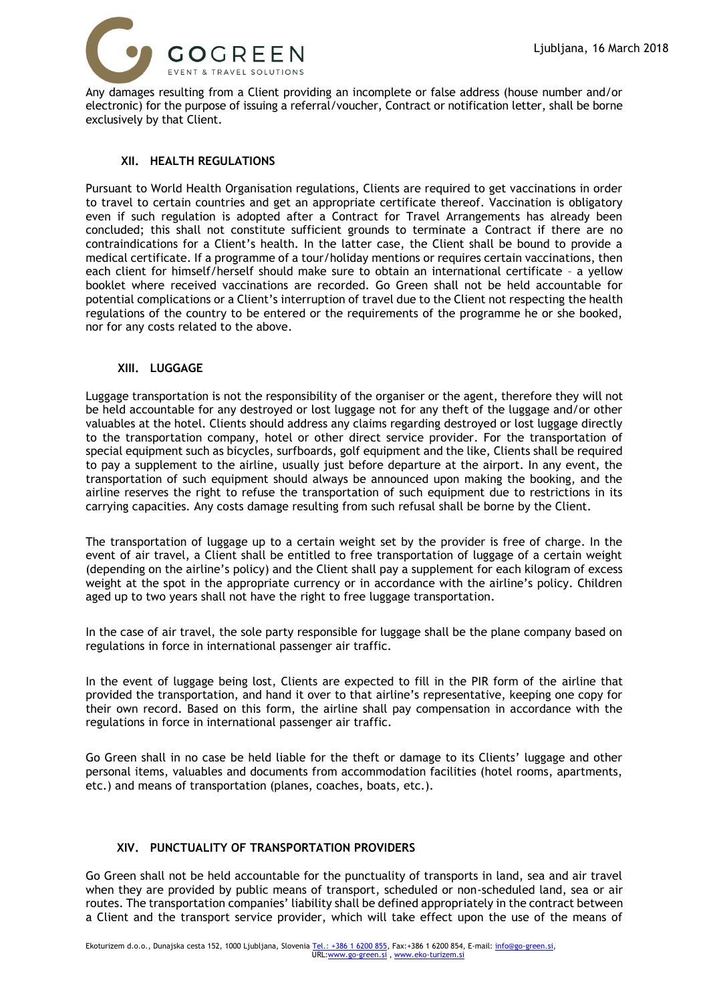

Any damages resulting from a Client providing an incomplete or false address (house number and/or electronic) for the purpose of issuing a referral/voucher, Contract or notification letter, shall be borne exclusively by that Client.

### **XII. HEALTH REGULATIONS**

Pursuant to World Health Organisation regulations, Clients are required to get vaccinations in order to travel to certain countries and get an appropriate certificate thereof. Vaccination is obligatory even if such regulation is adopted after a Contract for Travel Arrangements has already been concluded; this shall not constitute sufficient grounds to terminate a Contract if there are no contraindications for a Client's health. In the latter case, the Client shall be bound to provide a medical certificate. If a programme of a tour/holiday mentions or requires certain vaccinations, then each client for himself/herself should make sure to obtain an international certificate – a yellow booklet where received vaccinations are recorded. Go Green shall not be held accountable for potential complications or a Client's interruption of travel due to the Client not respecting the health regulations of the country to be entered or the requirements of the programme he or she booked, nor for any costs related to the above.

#### **XIII. LUGGAGE**

Luggage transportation is not the responsibility of the organiser or the agent, therefore they will not be held accountable for any destroyed or lost luggage not for any theft of the luggage and/or other valuables at the hotel. Clients should address any claims regarding destroyed or lost luggage directly to the transportation company, hotel or other direct service provider. For the transportation of special equipment such as bicycles, surfboards, golf equipment and the like, Clients shall be required to pay a supplement to the airline, usually just before departure at the airport. In any event, the transportation of such equipment should always be announced upon making the booking, and the airline reserves the right to refuse the transportation of such equipment due to restrictions in its carrying capacities. Any costs damage resulting from such refusal shall be borne by the Client.

The transportation of luggage up to a certain weight set by the provider is free of charge. In the event of air travel, a Client shall be entitled to free transportation of luggage of a certain weight (depending on the airline's policy) and the Client shall pay a supplement for each kilogram of excess weight at the spot in the appropriate currency or in accordance with the airline's policy. Children aged up to two years shall not have the right to free luggage transportation.

In the case of air travel, the sole party responsible for luggage shall be the plane company based on regulations in force in international passenger air traffic.

In the event of luggage being lost, Clients are expected to fill in the PIR form of the airline that provided the transportation, and hand it over to that airline's representative, keeping one copy for their own record. Based on this form, the airline shall pay compensation in accordance with the regulations in force in international passenger air traffic.

Go Green shall in no case be held liable for the theft or damage to its Clients' luggage and other personal items, valuables and documents from accommodation facilities (hotel rooms, apartments, etc.) and means of transportation (planes, coaches, boats, etc.).

## **XIV. PUNCTUALITY OF TRANSPORTATION PROVIDERS**

Go Green shall not be held accountable for the punctuality of transports in land, sea and air travel when they are provided by public means of transport, scheduled or non-scheduled land, sea or air routes. The transportation companies' liability shall be defined appropriately in the contract between a Client and the transport service provider, which will take effect upon the use of the means of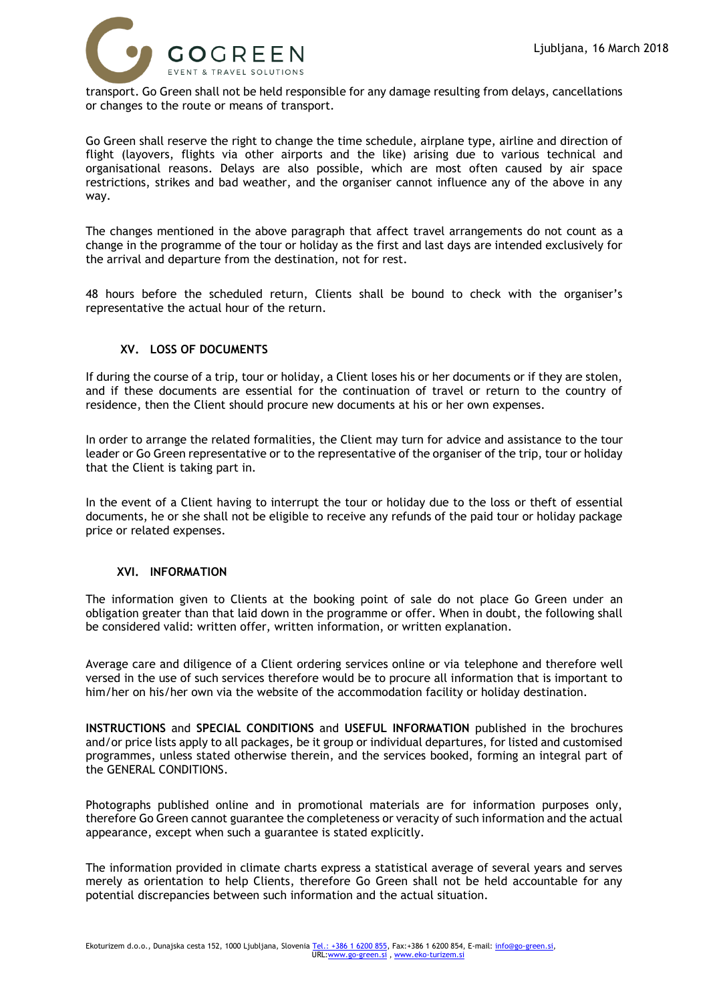

transport. Go Green shall not be held responsible for any damage resulting from delays, cancellations or changes to the route or means of transport.

Go Green shall reserve the right to change the time schedule, airplane type, airline and direction of flight (layovers, flights via other airports and the like) arising due to various technical and organisational reasons. Delays are also possible, which are most often caused by air space restrictions, strikes and bad weather, and the organiser cannot influence any of the above in any way.

The changes mentioned in the above paragraph that affect travel arrangements do not count as a change in the programme of the tour or holiday as the first and last days are intended exclusively for the arrival and departure from the destination, not for rest.

48 hours before the scheduled return, Clients shall be bound to check with the organiser's representative the actual hour of the return.

## **XV. LOSS OF DOCUMENTS**

If during the course of a trip, tour or holiday, a Client loses his or her documents or if they are stolen, and if these documents are essential for the continuation of travel or return to the country of residence, then the Client should procure new documents at his or her own expenses.

In order to arrange the related formalities, the Client may turn for advice and assistance to the tour leader or Go Green representative or to the representative of the organiser of the trip, tour or holiday that the Client is taking part in.

In the event of a Client having to interrupt the tour or holiday due to the loss or theft of essential documents, he or she shall not be eligible to receive any refunds of the paid tour or holiday package price or related expenses.

#### **XVI. INFORMATION**

The information given to Clients at the booking point of sale do not place Go Green under an obligation greater than that laid down in the programme or offer. When in doubt, the following shall be considered valid: written offer, written information, or written explanation.

Average care and diligence of a Client ordering services online or via telephone and therefore well versed in the use of such services therefore would be to procure all information that is important to him/her on his/her own via the website of the accommodation facility or holiday destination.

**INSTRUCTIONS** and **SPECIAL CONDITIONS** and **USEFUL INFORMATION** published in the brochures and/or price lists apply to all packages, be it group or individual departures, for listed and customised programmes, unless stated otherwise therein, and the services booked, forming an integral part of the GENERAL CONDITIONS.

Photographs published online and in promotional materials are for information purposes only, therefore Go Green cannot guarantee the completeness or veracity of such information and the actual appearance, except when such a guarantee is stated explicitly.

The information provided in climate charts express a statistical average of several years and serves merely as orientation to help Clients, therefore Go Green shall not be held accountable for any potential discrepancies between such information and the actual situation.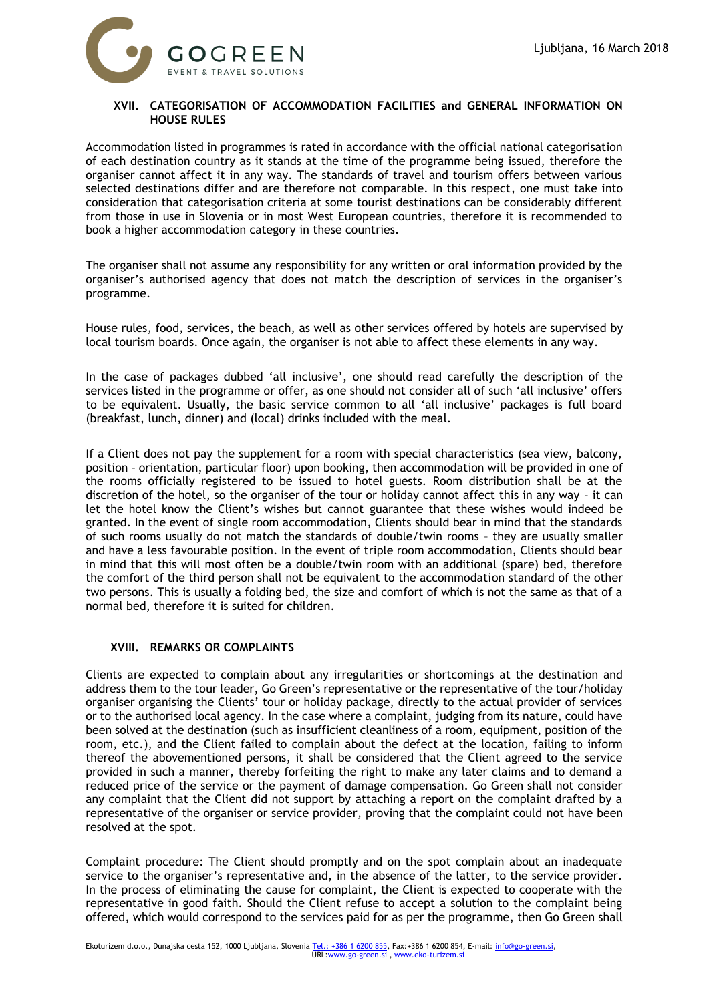

## **XVII. CATEGORISATION OF ACCOMMODATION FACILITIES and GENERAL INFORMATION ON HOUSE RULES**

Accommodation listed in programmes is rated in accordance with the official national categorisation of each destination country as it stands at the time of the programme being issued, therefore the organiser cannot affect it in any way. The standards of travel and tourism offers between various selected destinations differ and are therefore not comparable. In this respect, one must take into consideration that categorisation criteria at some tourist destinations can be considerably different from those in use in Slovenia or in most West European countries, therefore it is recommended to book a higher accommodation category in these countries.

The organiser shall not assume any responsibility for any written or oral information provided by the organiser's authorised agency that does not match the description of services in the organiser's programme.

House rules, food, services, the beach, as well as other services offered by hotels are supervised by local tourism boards. Once again, the organiser is not able to affect these elements in any way.

In the case of packages dubbed 'all inclusive', one should read carefully the description of the services listed in the programme or offer, as one should not consider all of such 'all inclusive' offers to be equivalent. Usually, the basic service common to all 'all inclusive' packages is full board (breakfast, lunch, dinner) and (local) drinks included with the meal.

If a Client does not pay the supplement for a room with special characteristics (sea view, balcony, position – orientation, particular floor) upon booking, then accommodation will be provided in one of the rooms officially registered to be issued to hotel guests. Room distribution shall be at the discretion of the hotel, so the organiser of the tour or holiday cannot affect this in any way – it can let the hotel know the Client's wishes but cannot guarantee that these wishes would indeed be granted. In the event of single room accommodation, Clients should bear in mind that the standards of such rooms usually do not match the standards of double/twin rooms – they are usually smaller and have a less favourable position. In the event of triple room accommodation, Clients should bear in mind that this will most often be a double/twin room with an additional (spare) bed, therefore the comfort of the third person shall not be equivalent to the accommodation standard of the other two persons. This is usually a folding bed, the size and comfort of which is not the same as that of a normal bed, therefore it is suited for children.

#### **XVIII. REMARKS OR COMPLAINTS**

Clients are expected to complain about any irregularities or shortcomings at the destination and address them to the tour leader, Go Green's representative or the representative of the tour/holiday organiser organising the Clients' tour or holiday package, directly to the actual provider of services or to the authorised local agency. In the case where a complaint, judging from its nature, could have been solved at the destination (such as insufficient cleanliness of a room, equipment, position of the room, etc.), and the Client failed to complain about the defect at the location, failing to inform thereof the abovementioned persons, it shall be considered that the Client agreed to the service provided in such a manner, thereby forfeiting the right to make any later claims and to demand a reduced price of the service or the payment of damage compensation. Go Green shall not consider any complaint that the Client did not support by attaching a report on the complaint drafted by a representative of the organiser or service provider, proving that the complaint could not have been resolved at the spot.

Complaint procedure: The Client should promptly and on the spot complain about an inadequate service to the organiser's representative and, in the absence of the latter, to the service provider. In the process of eliminating the cause for complaint, the Client is expected to cooperate with the representative in good faith. Should the Client refuse to accept a solution to the complaint being offered, which would correspond to the services paid for as per the programme, then Go Green shall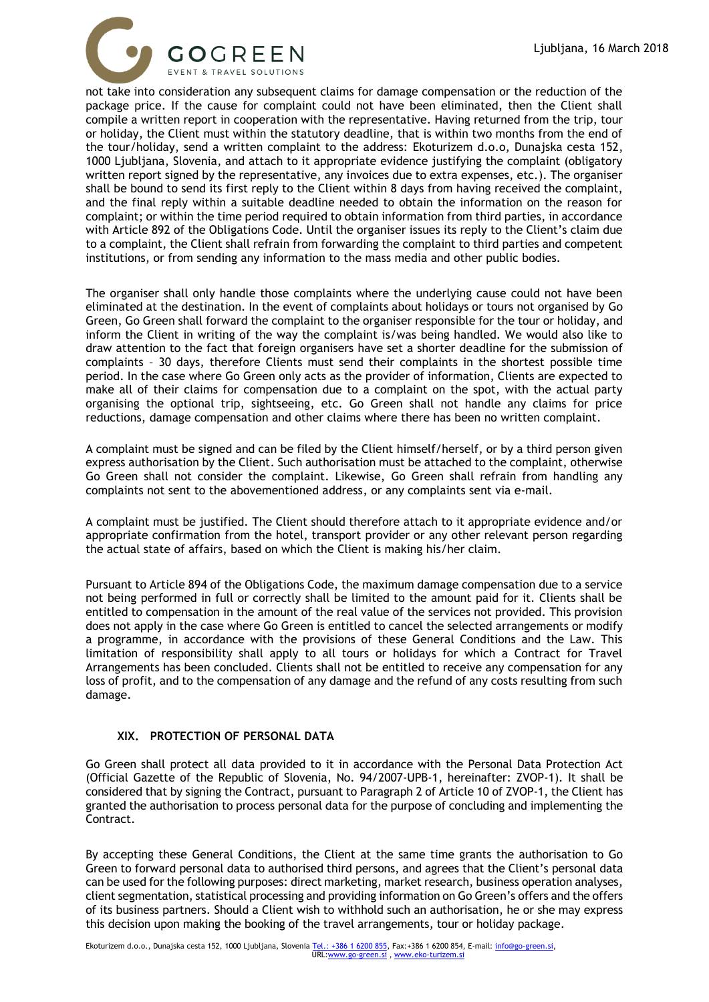

not take into consideration any subsequent claims for damage compensation or the reduction of the package price. If the cause for complaint could not have been eliminated, then the Client shall compile a written report in cooperation with the representative. Having returned from the trip, tour or holiday, the Client must within the statutory deadline, that is within two months from the end of the tour/holiday, send a written complaint to the address: Ekoturizem d.o.o, Dunajska cesta 152, 1000 Ljubljana, Slovenia, and attach to it appropriate evidence justifying the complaint (obligatory written report signed by the representative, any invoices due to extra expenses, etc.). The organiser shall be bound to send its first reply to the Client within 8 days from having received the complaint, and the final reply within a suitable deadline needed to obtain the information on the reason for complaint; or within the time period required to obtain information from third parties, in accordance with Article 892 of the Obligations Code. Until the organiser issues its reply to the Client's claim due to a complaint, the Client shall refrain from forwarding the complaint to third parties and competent institutions, or from sending any information to the mass media and other public bodies.

The organiser shall only handle those complaints where the underlying cause could not have been eliminated at the destination. In the event of complaints about holidays or tours not organised by Go Green, Go Green shall forward the complaint to the organiser responsible for the tour or holiday, and inform the Client in writing of the way the complaint is/was being handled. We would also like to draw attention to the fact that foreign organisers have set a shorter deadline for the submission of complaints – 30 days, therefore Clients must send their complaints in the shortest possible time period. In the case where Go Green only acts as the provider of information, Clients are expected to make all of their claims for compensation due to a complaint on the spot, with the actual party organising the optional trip, sightseeing, etc. Go Green shall not handle any claims for price reductions, damage compensation and other claims where there has been no written complaint.

A complaint must be signed and can be filed by the Client himself/herself, or by a third person given express authorisation by the Client. Such authorisation must be attached to the complaint, otherwise Go Green shall not consider the complaint. Likewise, Go Green shall refrain from handling any complaints not sent to the abovementioned address, or any complaints sent via e-mail.

A complaint must be justified. The Client should therefore attach to it appropriate evidence and/or appropriate confirmation from the hotel, transport provider or any other relevant person regarding the actual state of affairs, based on which the Client is making his/her claim.

Pursuant to Article 894 of the Obligations Code, the maximum damage compensation due to a service not being performed in full or correctly shall be limited to the amount paid for it. Clients shall be entitled to compensation in the amount of the real value of the services not provided. This provision does not apply in the case where Go Green is entitled to cancel the selected arrangements or modify a programme, in accordance with the provisions of these General Conditions and the Law. This limitation of responsibility shall apply to all tours or holidays for which a Contract for Travel Arrangements has been concluded. Clients shall not be entitled to receive any compensation for any loss of profit, and to the compensation of any damage and the refund of any costs resulting from such damage.

## **XIX. PROTECTION OF PERSONAL DATA**

Go Green shall protect all data provided to it in accordance with the Personal Data Protection Act (Official Gazette of the Republic of Slovenia, No. 94/2007-UPB-1, hereinafter: ZVOP-1). It shall be considered that by signing the Contract, pursuant to Paragraph 2 of Article 10 of ZVOP-1, the Client has granted the authorisation to process personal data for the purpose of concluding and implementing the Contract.

By accepting these General Conditions, the Client at the same time grants the authorisation to Go Green to forward personal data to authorised third persons, and agrees that the Client's personal data can be used for the following purposes: direct marketing, market research, business operation analyses, client segmentation, statistical processing and providing information on Go Green's offers and the offers of its business partners. Should a Client wish to withhold such an authorisation, he or she may express this decision upon making the booking of the travel arrangements, tour or holiday package.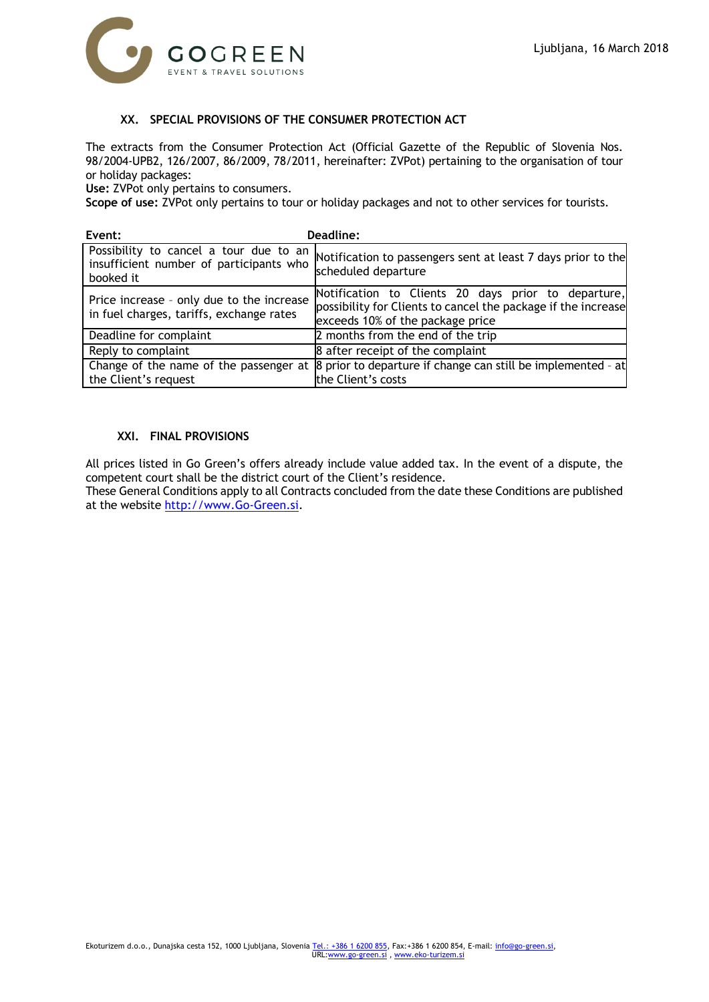

### **XX. SPECIAL PROVISIONS OF THE CONSUMER PROTECTION ACT**

The extracts from the Consumer Protection Act (Official Gazette of the Republic of Slovenia Nos. 98/2004-UPB2, 126/2007, 86/2009, 78/2011, hereinafter: ZVPot) pertaining to the organisation of tour or holiday packages:

**Use:** ZVPot only pertains to consumers.

**Scope of use:** ZVPot only pertains to tour or holiday packages and not to other services for tourists.

| Event:                                                                                         | Deadline:                                                                                                                                                |
|------------------------------------------------------------------------------------------------|----------------------------------------------------------------------------------------------------------------------------------------------------------|
| Possibility to cancel a tour due to an<br>insufficient number of participants who<br>booked it | Notification to passengers sent at least 7 days prior to the<br>scheduled departure                                                                      |
| Price increase - only due to the increase<br>in fuel charges, tariffs, exchange rates          | Notification to Clients 20 days prior to departure,<br>possibility for Clients to cancel the package if the increase<br>exceeds 10% of the package price |
| Deadline for complaint                                                                         | 2 months from the end of the trip                                                                                                                        |
| Reply to complaint                                                                             | 8 after receipt of the complaint                                                                                                                         |
| Change of the name of the passenger at<br>the Client's request                                 | 8 prior to departure if change can still be implemented - at<br>the Client's costs                                                                       |

### **XXI. FINAL PROVISIONS**

All prices listed in Go Green's offers already include value added tax. In the event of a dispute, the competent court shall be the district court of the Client's residence.

These General Conditions apply to all Contracts concluded from the date these Conditions are published at the website [http://www.Go-Green.si.](http://www.go-green.si/)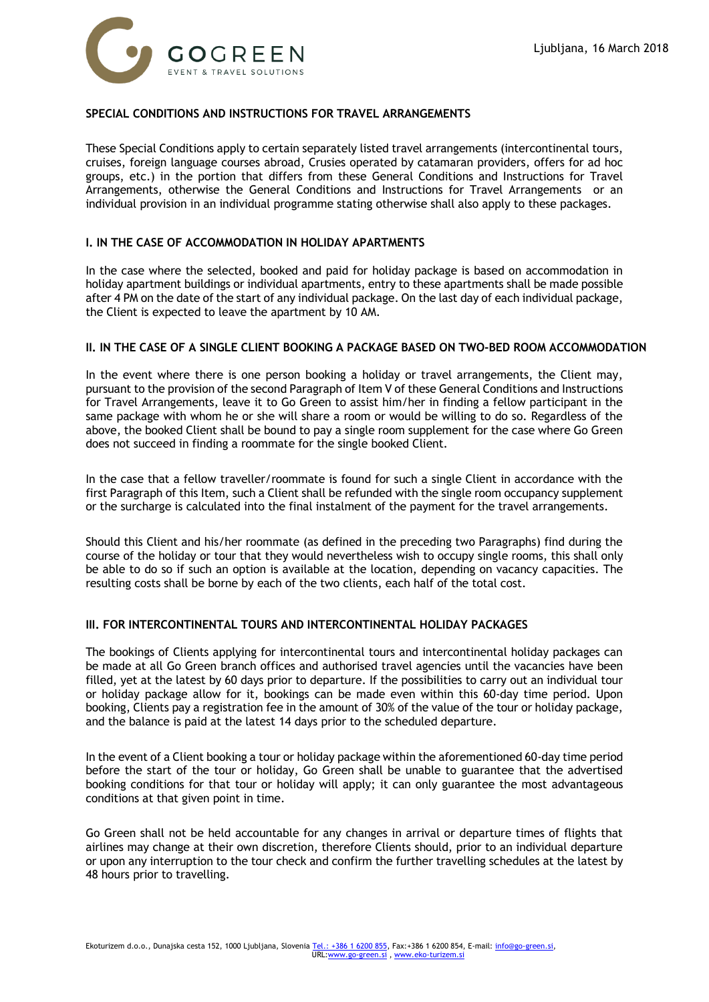

### **SPECIAL CONDITIONS AND INSTRUCTIONS FOR TRAVEL ARRANGEMENTS**

These Special Conditions apply to certain separately listed travel arrangements (intercontinental tours, cruises, foreign language courses abroad, Crusies operated by catamaran providers, offers for ad hoc groups, etc.) in the portion that differs from these General Conditions and Instructions for Travel Arrangements, otherwise the General Conditions and Instructions for Travel Arrangements or an individual provision in an individual programme stating otherwise shall also apply to these packages.

### **I. IN THE CASE OF ACCOMMODATION IN HOLIDAY APARTMENTS**

In the case where the selected, booked and paid for holiday package is based on accommodation in holiday apartment buildings or individual apartments, entry to these apartments shall be made possible after 4 PM on the date of the start of any individual package. On the last day of each individual package, the Client is expected to leave the apartment by 10 AM.

#### **II. IN THE CASE OF A SINGLE CLIENT BOOKING A PACKAGE BASED ON TWO-BED ROOM ACCOMMODATION**

In the event where there is one person booking a holiday or travel arrangements, the Client may, pursuant to the provision of the second Paragraph of Item V of these General Conditions and Instructions for Travel Arrangements, leave it to Go Green to assist him/her in finding a fellow participant in the same package with whom he or she will share a room or would be willing to do so. Regardless of the above, the booked Client shall be bound to pay a single room supplement for the case where Go Green does not succeed in finding a roommate for the single booked Client.

In the case that a fellow traveller/roommate is found for such a single Client in accordance with the first Paragraph of this Item, such a Client shall be refunded with the single room occupancy supplement or the surcharge is calculated into the final instalment of the payment for the travel arrangements.

Should this Client and his/her roommate (as defined in the preceding two Paragraphs) find during the course of the holiday or tour that they would nevertheless wish to occupy single rooms, this shall only be able to do so if such an option is available at the location, depending on vacancy capacities. The resulting costs shall be borne by each of the two clients, each half of the total cost.

#### **III. FOR INTERCONTINENTAL TOURS AND INTERCONTINENTAL HOLIDAY PACKAGES**

The bookings of Clients applying for intercontinental tours and intercontinental holiday packages can be made at all Go Green branch offices and authorised travel agencies until the vacancies have been filled, yet at the latest by 60 days prior to departure. If the possibilities to carry out an individual tour or holiday package allow for it, bookings can be made even within this 60-day time period. Upon booking, Clients pay a registration fee in the amount of 30% of the value of the tour or holiday package, and the balance is paid at the latest 14 days prior to the scheduled departure.

In the event of a Client booking a tour or holiday package within the aforementioned 60-day time period before the start of the tour or holiday, Go Green shall be unable to guarantee that the advertised booking conditions for that tour or holiday will apply; it can only guarantee the most advantageous conditions at that given point in time.

Go Green shall not be held accountable for any changes in arrival or departure times of flights that airlines may change at their own discretion, therefore Clients should, prior to an individual departure or upon any interruption to the tour check and confirm the further travelling schedules at the latest by 48 hours prior to travelling.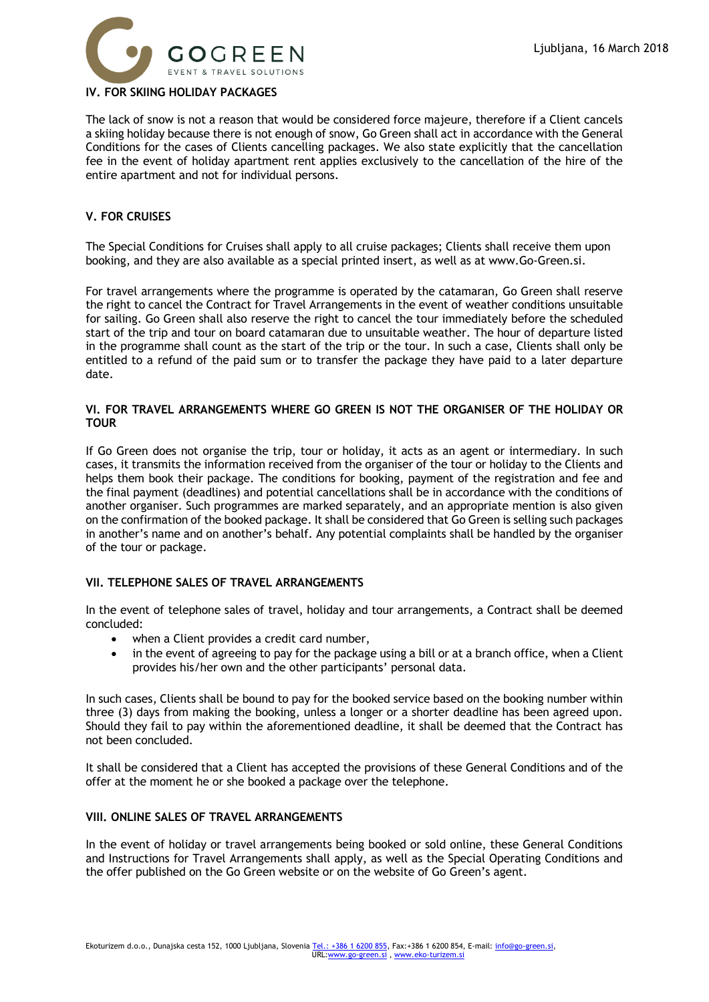

### **IV. FOR SKIING HOLIDAY PACKAGES**

The lack of snow is not a reason that would be considered force majeure, therefore if a Client cancels a skiing holiday because there is not enough of snow, Go Green shall act in accordance with the General Conditions for the cases of Clients cancelling packages. We also state explicitly that the cancellation fee in the event of holiday apartment rent applies exclusively to the cancellation of the hire of the entire apartment and not for individual persons.

### **V. FOR CRUISES**

The Special Conditions for Cruises shall apply to all cruise packages; Clients shall receive them upon booking, and they are also available as a special printed insert, as well as at www.Go-Green.si.

For travel arrangements where the programme is operated by the catamaran, Go Green shall reserve the right to cancel the Contract for Travel Arrangements in the event of weather conditions unsuitable for sailing. Go Green shall also reserve the right to cancel the tour immediately before the scheduled start of the trip and tour on board catamaran due to unsuitable weather. The hour of departure listed in the programme shall count as the start of the trip or the tour. In such a case, Clients shall only be entitled to a refund of the paid sum or to transfer the package they have paid to a later departure date.

#### **VI. FOR TRAVEL ARRANGEMENTS WHERE GO GREEN IS NOT THE ORGANISER OF THE HOLIDAY OR TOUR**

If Go Green does not organise the trip, tour or holiday, it acts as an agent or intermediary. In such cases, it transmits the information received from the organiser of the tour or holiday to the Clients and helps them book their package. The conditions for booking, payment of the registration and fee and the final payment (deadlines) and potential cancellations shall be in accordance with the conditions of another organiser. Such programmes are marked separately, and an appropriate mention is also given on the confirmation of the booked package. It shall be considered that Go Green is selling such packages in another's name and on another's behalf. Any potential complaints shall be handled by the organiser of the tour or package.

### **VII. TELEPHONE SALES OF TRAVEL ARRANGEMENTS**

In the event of telephone sales of travel, holiday and tour arrangements, a Contract shall be deemed concluded:

- when a Client provides a credit card number,
- in the event of agreeing to pay for the package using a bill or at a branch office, when a Client provides his/her own and the other participants' personal data.

In such cases, Clients shall be bound to pay for the booked service based on the booking number within three (3) days from making the booking, unless a longer or a shorter deadline has been agreed upon. Should they fail to pay within the aforementioned deadline, it shall be deemed that the Contract has not been concluded.

It shall be considered that a Client has accepted the provisions of these General Conditions and of the offer at the moment he or she booked a package over the telephone.

### **VIII. ONLINE SALES OF TRAVEL ARRANGEMENTS**

In the event of holiday or travel arrangements being booked or sold online, these General Conditions and Instructions for Travel Arrangements shall apply, as well as the Special Operating Conditions and the offer published on the Go Green website or on the website of Go Green's agent.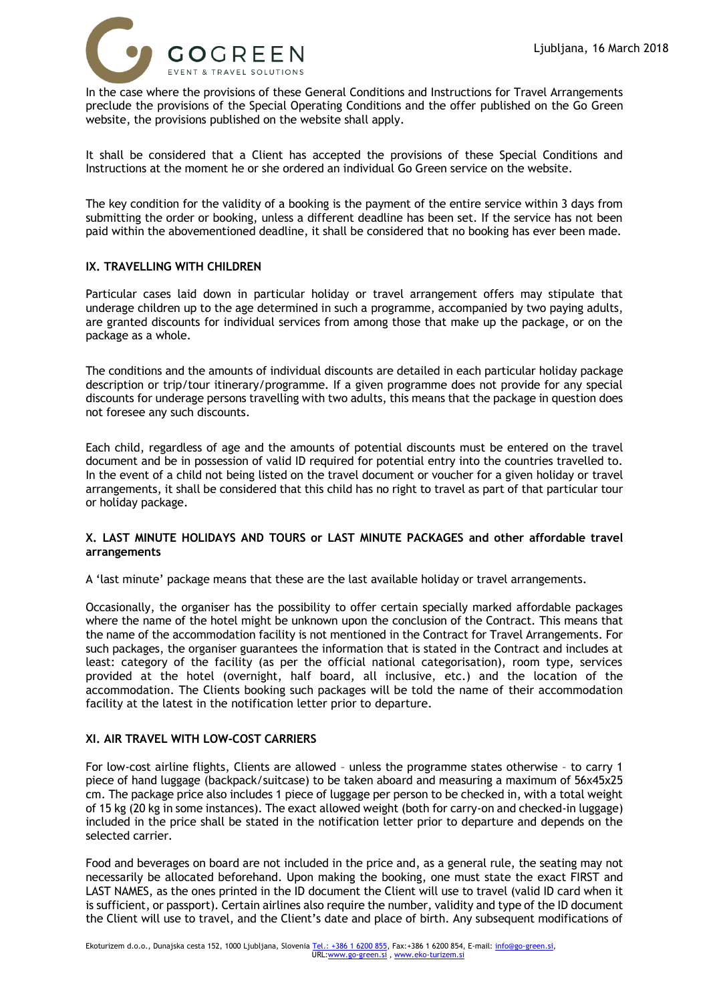

In the case where the provisions of these General Conditions and Instructions for Travel Arrangements preclude the provisions of the Special Operating Conditions and the offer published on the Go Green website, the provisions published on the website shall apply.

It shall be considered that a Client has accepted the provisions of these Special Conditions and Instructions at the moment he or she ordered an individual Go Green service on the website.

The key condition for the validity of a booking is the payment of the entire service within 3 days from submitting the order or booking, unless a different deadline has been set. If the service has not been paid within the abovementioned deadline, it shall be considered that no booking has ever been made.

## **IX. TRAVELLING WITH CHILDREN**

Particular cases laid down in particular holiday or travel arrangement offers may stipulate that underage children up to the age determined in such a programme, accompanied by two paying adults, are granted discounts for individual services from among those that make up the package, or on the package as a whole.

The conditions and the amounts of individual discounts are detailed in each particular holiday package description or trip/tour itinerary/programme. If a given programme does not provide for any special discounts for underage persons travelling with two adults, this means that the package in question does not foresee any such discounts.

Each child, regardless of age and the amounts of potential discounts must be entered on the travel document and be in possession of valid ID required for potential entry into the countries travelled to. In the event of a child not being listed on the travel document or voucher for a given holiday or travel arrangements, it shall be considered that this child has no right to travel as part of that particular tour or holiday package.

### **X. LAST MINUTE HOLIDAYS AND TOURS or LAST MINUTE PACKAGES and other affordable travel arrangements**

A 'last minute' package means that these are the last available holiday or travel arrangements.

Occasionally, the organiser has the possibility to offer certain specially marked affordable packages where the name of the hotel might be unknown upon the conclusion of the Contract. This means that the name of the accommodation facility is not mentioned in the Contract for Travel Arrangements. For such packages, the organiser guarantees the information that is stated in the Contract and includes at least: category of the facility (as per the official national categorisation), room type, services provided at the hotel (overnight, half board, all inclusive, etc.) and the location of the accommodation. The Clients booking such packages will be told the name of their accommodation facility at the latest in the notification letter prior to departure.

#### **XI. AIR TRAVEL WITH LOW-COST CARRIERS**

For low-cost airline flights, Clients are allowed – unless the programme states otherwise – to carry 1 piece of hand luggage (backpack/suitcase) to be taken aboard and measuring a maximum of 56x45x25 cm. The package price also includes 1 piece of luggage per person to be checked in, with a total weight of 15 kg (20 kg in some instances). The exact allowed weight (both for carry-on and checked-in luggage) included in the price shall be stated in the notification letter prior to departure and depends on the selected carrier.

Food and beverages on board are not included in the price and, as a general rule, the seating may not necessarily be allocated beforehand. Upon making the booking, one must state the exact FIRST and LAST NAMES, as the ones printed in the ID document the Client will use to travel (valid ID card when it is sufficient, or passport). Certain airlines also require the number, validity and type of the ID document the Client will use to travel, and the Client's date and place of birth. Any subsequent modifications of